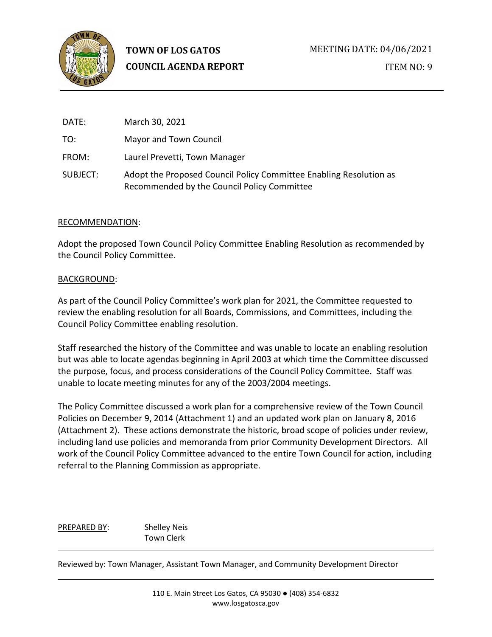

ITEM NO: 9

| DATE:    | March 30, 2021                                                                                                    |
|----------|-------------------------------------------------------------------------------------------------------------------|
| TO:      | Mayor and Town Council                                                                                            |
| FROM:    | Laurel Prevetti, Town Manager                                                                                     |
| SUBJECT: | Adopt the Proposed Council Policy Committee Enabling Resolution as<br>Recommended by the Council Policy Committee |

### RECOMMENDATION:

Adopt the proposed Town Council Policy Committee Enabling Resolution as recommended by the Council Policy Committee.

### BACKGROUND:

As part of the Council Policy Committee's work plan for 2021, the Committee requested to review the enabling resolution for all Boards, Commissions, and Committees, including the Council Policy Committee enabling resolution.

Staff researched the history of the Committee and was unable to locate an enabling resolution but was able to locate agendas beginning in April 2003 at which time the Committee discussed the purpose, focus, and process considerations of the Council Policy Committee. Staff was unable to locate meeting minutes for any of the 2003/2004 meetings.

The Policy Committee discussed a work plan for a comprehensive review of the Town Council Policies on December 9, 2014 (Attachment 1) and an updated work plan on January 8, 2016 (Attachment 2). These actions demonstrate the historic, broad scope of policies under review, including land use policies and memoranda from prior Community Development Directors. All work of the Council Policy Committee advanced to the entire Town Council for action, including referral to the Planning Commission as appropriate.

PREPARED BY: Shelley Neis Town Clerk

Reviewed by: Town Manager, Assistant Town Manager, and Community Development Director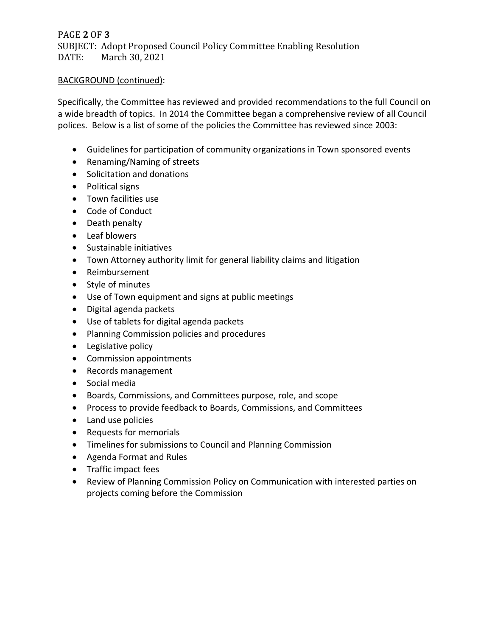PAGE **2** OF **3** SUBJECT: Adopt Proposed Council Policy Committee Enabling Resolution March 30, 2021

## BACKGROUND (continued):

Specifically, the Committee has reviewed and provided recommendations to the full Council on a wide breadth of topics. In 2014 the Committee began a comprehensive review of all Council polices. Below is a list of some of the policies the Committee has reviewed since 2003:

- Guidelines for participation of community organizations in Town sponsored events
- Renaming/Naming of streets
- Solicitation and donations
- Political signs
- Town facilities use
- Code of Conduct
- Death penalty
- Leaf blowers
- Sustainable initiatives
- Town Attorney authority limit for general liability claims and litigation
- Reimbursement
- Style of minutes
- Use of Town equipment and signs at public meetings
- Digital agenda packets
- Use of tablets for digital agenda packets
- Planning Commission policies and procedures
- Legislative policy
- Commission appointments
- Records management
- Social media
- Boards, Commissions, and Committees purpose, role, and scope
- Process to provide feedback to Boards, Commissions, and Committees
- Land use policies
- Requests for memorials
- Timelines for submissions to Council and Planning Commission
- Agenda Format and Rules
- Traffic impact fees
- Review of Planning Commission Policy on Communication with interested parties on projects coming before the Commission